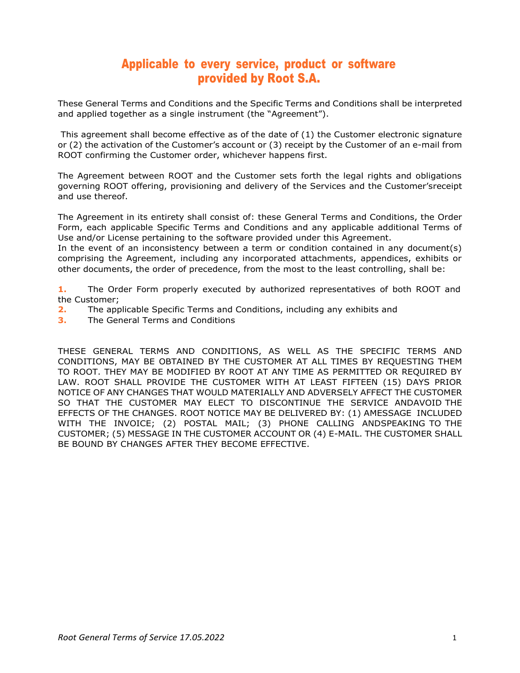# Applicable to every service, product or software provided by Root S.A.

These General Terms and Conditions and the Specific Terms and Conditions shall be interpreted and applied together as a single instrument (the "Agreement").

This agreement shall become effective as of the date of (1) the Customer electronic signature or (2) the activation of the Customer's account or (3) receipt by the Customer of an e-mail from ROOT confirming the Customer order, whichever happens first.

The Agreement between ROOT and the Customer sets forth the legal rights and obligations governing ROOT offering, provisioning and delivery of the Services and the Customer'sreceipt and use thereof.

The Agreement in its entirety shall consist of: these General Terms and Conditions, the Order Form, each applicable Specific Terms and Conditions and any applicable additional Terms of Use and/or License pertaining to the software provided under this Agreement.

In the event of an inconsistency between a term or condition contained in any document(s) comprising the Agreement, including any incorporated attachments, appendices, exhibits or other documents, the order of precedence, from the most to the least controlling, shall be:

**1.** The Order Form properly executed by authorized representatives of both ROOT and the Customer;

- **2.** The applicable Specific Terms and Conditions, including any exhibits and
- **3.** The General Terms and Conditions

THESE GENERAL TERMS AND CONDITIONS, AS WELL AS THE SPECIFIC TERMS AND CONDITIONS, MAY BE OBTAINED BY THE CUSTOMER AT ALL TIMES BY REQUESTING THEM TO ROOT. THEY MAY BE MODIFIED BY ROOT AT ANY TIME AS PERMITTED OR REQUIRED BY LAW. ROOT SHALL PROVIDE THE CUSTOMER WITH AT LEAST FIFTEEN (15) DAYS PRIOR NOTICE OF ANY CHANGES THAT WOULD MATERIALLY AND ADVERSELY AFFECT THE CUSTOMER SO THAT THE CUSTOMER MAY ELECT TO DISCONTINUE THE SERVICE ANDAVOID THE EFFECTS OF THE CHANGES. ROOT NOTICE MAY BE DELIVERED BY: (1) AMESSAGE INCLUDED WITH THE INVOICE; (2) POSTAL MAIL; (3) PHONE CALLING ANDSPEAKING TO THE CUSTOMER; (5) MESSAGE IN THE CUSTOMER ACCOUNT OR (4) E-MAIL. THE CUSTOMER SHALL BE BOUND BY CHANGES AFTER THEY BECOME EFFECTIVE.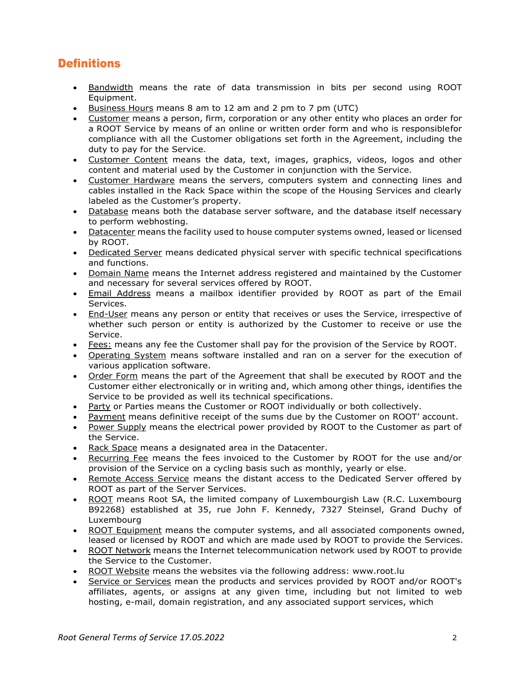# **Definitions**

- Bandwidth means the rate of data transmission in bits per second using ROOT Equipment.
- Business Hours means 8 am to 12 am and 2 pm to 7 pm (UTC)
- Customer means a person, firm, corporation or any other entity who places an order for a ROOT Service by means of an online or written order form and who is responsiblefor compliance with all the Customer obligations set forth in the Agreement, including the duty to pay for the Service.
- Customer Content means the data, text, images, graphics, videos, logos and other content and material used by the Customer in conjunction with the Service.
- Customer Hardware means the servers, computers system and connecting lines and cables installed in the Rack Space within the scope of the Housing Services and clearly labeled as the Customer's property.
- Database means both the database server software, and the database itself necessary to perform webhosting.
- Datacenter means the facility used to house computer systems owned, leased or licensed by ROOT.
- Dedicated Server means dedicated physical server with specific technical specifications and functions.
- Domain Name means the Internet address registered and maintained by the Customer and necessary for several services offered by ROOT.
- Email Address means a mailbox identifier provided by ROOT as part of the Email Services.
- End-User means any person or entity that receives or uses the Service, irrespective of whether such person or entity is authorized by the Customer to receive or use the Service.
- Fees: means any fee the Customer shall pay for the provision of the Service by ROOT.
- Operating System means software installed and ran on a server for the execution of various application software.
- Order Form means the part of the Agreement that shall be executed by ROOT and the Customer either electronically or in writing and, which among other things, identifies the Service to be provided as well its technical specifications.
- Party or Parties means the Customer or ROOT individually or both collectively.
- Payment means definitive receipt of the sums due by the Customer on ROOT' account.
- Power Supply means the electrical power provided by ROOT to the Customer as part of the Service.
- Rack Space means a designated area in the Datacenter.
- Recurring Fee means the fees invoiced to the Customer by ROOT for the use and/or provision of the Service on a cycling basis such as monthly, yearly or else.
- Remote Access Service means the distant access to the Dedicated Server offered by ROOT as part of the Server Services.
- ROOT means Root SA, the limited company of Luxembourgish Law (R.C. Luxembourg B92268) established at 35, rue John F. Kennedy, 7327 Steinsel, Grand Duchy of Luxembourg
- ROOT Equipment means the computer systems, and all associated components owned, leased or licensed by ROOT and which are made used by ROOT to provide the Services.
- ROOT Network means the Internet telecommunication network used by ROOT to provide the Service to the Customer.
- ROOT Website means the websites via the following address: [www.root.lu](http://www.root.lu/)
- Service or Services mean the products and services provided by ROOT and/or ROOT's affiliates, agents, or assigns at any given time, including but not limited to web hosting, e-mail, domain registration, and any associated support services, which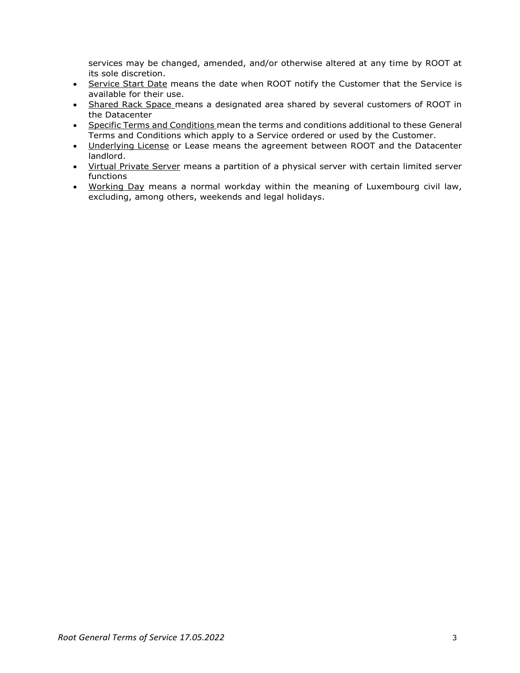services may be changed, amended, and/or otherwise altered at any time by ROOT at its sole discretion.

- Service Start Date means the date when ROOT notify the Customer that the Service is available for their use.
- Shared Rack Space means a designated area shared by several customers of ROOT in the Datacenter
- Specific Terms and Conditions mean the terms and conditions additional to these General Terms and Conditions which apply to a Service ordered or used by the Customer.
- Underlying License or Lease means the agreement between ROOT and the Datacenter landlord.
- Virtual Private Server means a partition of a physical server with certain limited server functions
- Working Day means a normal workday within the meaning of Luxembourg civil law, excluding, among others, weekends and legal holidays.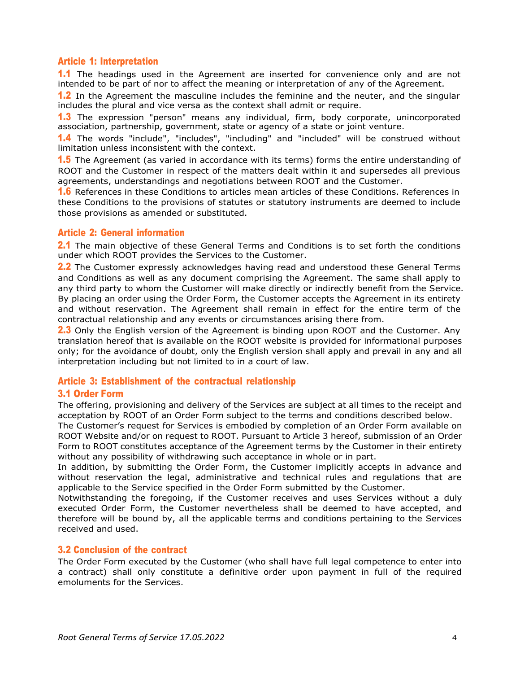## Article 1: Interpretation

1.1 The headings used in the Agreement are inserted for convenience only and are not intended to be part of nor to affect the meaning or interpretation of any of the Agreement.

**1.2** In the Agreement the masculine includes the feminine and the neuter, and the singular includes the plural and vice versa as the context shall admit or require.

**1.3** The expression "person" means any individual, firm, body corporate, unincorporated association, partnership, government, state or agency of a state or joint venture.

1.4 The words "include", "includes", "including" and "included" will be construed without limitation unless inconsistent with the context.

**1.5** The Agreement (as varied in accordance with its terms) forms the entire understanding of ROOT and the Customer in respect of the matters dealt within it and supersedes all previous agreements, understandings and negotiations between ROOT and the Customer.

1.6 References in these Conditions to articles mean articles of these Conditions. References in these Conditions to the provisions of statutes or statutory instruments are deemed to include those provisions as amended or substituted.

# Article 2: General information

2.1 The main objective of these General Terms and Conditions is to set forth the conditions under which ROOT provides the Services to the Customer.

2.2 The Customer expressly acknowledges having read and understood these General Terms and Conditions as well as any document comprising the Agreement. The same shall apply to any third party to whom the Customer will make directly or indirectly benefit from the Service. By placing an order using the Order Form, the Customer accepts the Agreement in its entirety and without reservation. The Agreement shall remain in effect for the entire term of the contractual relationship and any events or circumstances arising there from.

**2.3** Only the English version of the Agreement is binding upon ROOT and the Customer. Any translation hereof that is available on the ROOT website is provided for informational purposes only; for the avoidance of doubt, only the English version shall apply and prevail in any and all interpretation including but not limited to in a court of law.

# Article 3: Establishment of the contractual relationship

# 3.1 Order Form

The offering, provisioning and delivery of the Services are subject at all times to the receipt and acceptation by ROOT of an Order Form subject to the terms and conditions described below.

The Customer's request for Services is embodied by completion of an Order Form available on ROOT Website and/or on request to ROOT. Pursuant to Article 3 hereof, submission of an Order Form to ROOT constitutes acceptance of the Agreement terms by the Customer in their entirety without any possibility of withdrawing such acceptance in whole or in part.

In addition, by submitting the Order Form, the Customer implicitly accepts in advance and without reservation the legal, administrative and technical rules and regulations that are applicable to the Service specified in the Order Form submitted by the Customer.

Notwithstanding the foregoing, if the Customer receives and uses Services without a duly executed Order Form, the Customer nevertheless shall be deemed to have accepted, and therefore will be bound by, all the applicable terms and conditions pertaining to the Services received and used.

## 3.2 Conclusion of the contract

The Order Form executed by the Customer (who shall have full legal competence to enter into a contract) shall only constitute a definitive order upon payment in full of the required emoluments for the Services.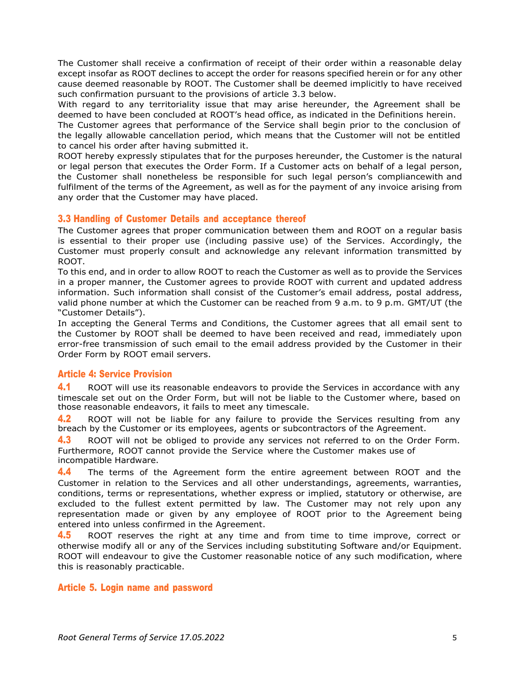The Customer shall receive a confirmation of receipt of their order within a reasonable delay except insofar as ROOT declines to accept the order for reasons specified herein or for any other cause deemed reasonable by ROOT. The Customer shall be deemed implicitly to have received such confirmation pursuant to the provisions of article 3.3 below.

With regard to any territoriality issue that may arise hereunder, the Agreement shall be deemed to have been concluded at ROOT's head office, as indicated in the Definitions herein.

The Customer agrees that performance of the Service shall begin prior to the conclusion of the legally allowable cancellation period, which means that the Customer will not be entitled to cancel his order after having submitted it.

ROOT hereby expressly stipulates that for the purposes hereunder, the Customer is the natural or legal person that executes the Order Form. If a Customer acts on behalf of a legal person, the Customer shall nonetheless be responsible for such legal person's compliancewith and fulfilment of the terms of the Agreement, as well as for the payment of any invoice arising from any order that the Customer may have placed.

## 3.3 Handling of Customer Details and acceptance thereof

The Customer agrees that proper communication between them and ROOT on a regular basis is essential to their proper use (including passive use) of the Services. Accordingly, the Customer must properly consult and acknowledge any relevant information transmitted by ROOT.

To this end, and in order to allow ROOT to reach the Customer as well as to provide the Services in a proper manner, the Customer agrees to provide ROOT with current and updated address information. Such information shall consist of the Customer's email address, postal address, valid phone number at which the Customer can be reached from 9 a.m. to 9 p.m. GMT/UT (the "Customer Details").

In accepting the General Terms and Conditions, the Customer agrees that all email sent to the Customer by ROOT shall be deemed to have been received and read, immediately upon error-free transmission of such email to the email address provided by the Customer in their Order Form by ROOT email servers.

## Article 4: Service Provision

4.1 ROOT will use its reasonable endeavors to provide the Services in accordance with any timescale set out on the Order Form, but will not be liable to the Customer where, based on those reasonable endeavors, it fails to meet any timescale.

**4.2** ROOT will not be liable for any failure to provide the Services resulting from any breach by the Customer or its employees, agents or subcontractors of the Agreement.

4.3 ROOT will not be obliged to provide any services not referred to on the Order Form. Furthermore, ROOT cannot provide the Service where the Customer makes use of incompatible Hardware.

4.4 The terms of the Agreement form the entire agreement between ROOT and the Customer in relation to the Services and all other understandings, agreements, warranties, conditions, terms or representations, whether express or implied, statutory or otherwise, are excluded to the fullest extent permitted by law. The Customer may not rely upon any representation made or given by any employee of ROOT prior to the Agreement being entered into unless confirmed in the Agreement.

4.5 ROOT reserves the right at any time and from time to time improve, correct or otherwise modify all or any of the Services including substituting Software and/or Equipment. ROOT will endeavour to give the Customer reasonable notice of any such modification, where this is reasonably practicable.

## Article 5. Login name and password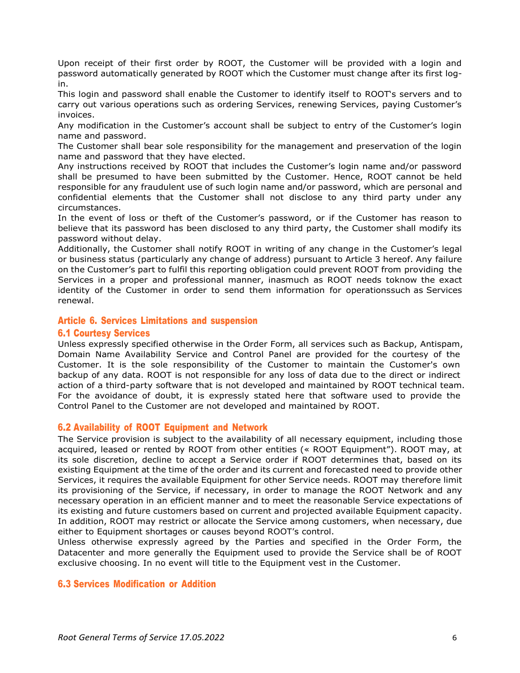Upon receipt of their first order by ROOT, the Customer will be provided with a login and password automatically generated by ROOT which the Customer must change after its first login.

This login and password shall enable the Customer to identify itself to ROOT's servers and to carry out various operations such as ordering Services, renewing Services, paying Customer's invoices.

Any modification in the Customer's account shall be subject to entry of the Customer's login name and password.

The Customer shall bear sole responsibility for the management and preservation of the login name and password that they have elected.

Any instructions received by ROOT that includes the Customer's login name and/or password shall be presumed to have been submitted by the Customer. Hence, ROOT cannot be held responsible for any fraudulent use of such login name and/or password, which are personal and confidential elements that the Customer shall not disclose to any third party under any circumstances.

In the event of loss or theft of the Customer's password, or if the Customer has reason to believe that its password has been disclosed to any third party, the Customer shall modify its password without delay.

Additionally, the Customer shall notify ROOT in writing of any change in the Customer's legal or business status (particularly any change of address) pursuant to Article 3 hereof. Any failure on the Customer's part to fulfil this reporting obligation could prevent ROOT from providing the Services in a proper and professional manner, inasmuch as ROOT needs toknow the exact identity of the Customer in order to send them information for operationssuch as Services renewal.

## Article 6. Services Limitations and suspension

## 6.1 Courtesy Services

Unless expressly specified otherwise in the Order Form, all services such as Backup, Antispam, Domain Name Availability Service and Control Panel are provided for the courtesy of the Customer. It is the sole responsibility of the Customer to maintain the Customer's own backup of any data. ROOT is not responsible for any loss of data due to the direct or indirect action of a third-party software that is not developed and maintained by ROOT technical team. For the avoidance of doubt, it is expressly stated here that software used to provide the Control Panel to the Customer are not developed and maintained by ROOT.

## 6.2 Availability of ROOT Equipment and Network

The Service provision is subject to the availability of all necessary equipment, including those acquired, leased or rented by ROOT from other entities (« ROOT Equipment"). ROOT may, at its sole discretion, decline to accept a Service order if ROOT determines that, based on its existing Equipment at the time of the order and its current and forecasted need to provide other Services, it requires the available Equipment for other Service needs. ROOT may therefore limit its provisioning of the Service, if necessary, in order to manage the ROOT Network and any necessary operation in an efficient manner and to meet the reasonable Service expectations of its existing and future customers based on current and projected available Equipment capacity. In addition, ROOT may restrict or allocate the Service among customers, when necessary, due either to Equipment shortages or causes beyond ROOT's control.

Unless otherwise expressly agreed by the Parties and specified in the Order Form, the Datacenter and more generally the Equipment used to provide the Service shall be of ROOT exclusive choosing. In no event will title to the Equipment vest in the Customer.

## 6.3 Services Modification or Addition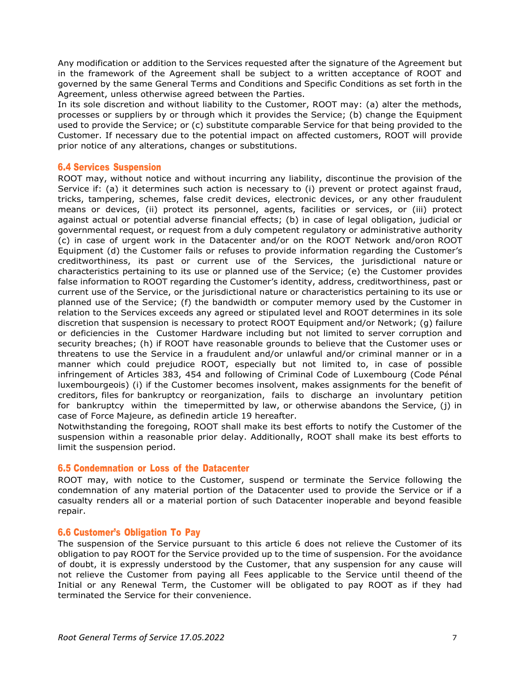Any modification or addition to the Services requested after the signature of the Agreement but in the framework of the Agreement shall be subject to a written acceptance of ROOT and governed by the same General Terms and Conditions and Specific Conditions as set forth in the Agreement, unless otherwise agreed between the Parties.

In its sole discretion and without liability to the Customer, ROOT may: (a) alter the methods, processes or suppliers by or through which it provides the Service; (b) change the Equipment used to provide the Service; or (c) substitute comparable Service for that being provided to the Customer. If necessary due to the potential impact on affected customers, ROOT will provide prior notice of any alterations, changes or substitutions.

## 6.4 Services Suspension

ROOT may, without notice and without incurring any liability, discontinue the provision of the Service if: (a) it determines such action is necessary to (i) prevent or protect against fraud, tricks, tampering, schemes, false credit devices, electronic devices, or any other fraudulent means or devices, (ii) protect its personnel, agents, facilities or services, or (iii) protect against actual or potential adverse financial effects; (b) in case of legal obligation, judicial or governmental request, or request from a duly competent regulatory or administrative authority (c) in case of urgent work in the Datacenter and/or on the ROOT Network and/oron ROOT Equipment (d) the Customer fails or refuses to provide information regarding the Customer's creditworthiness, its past or current use of the Services, the jurisdictional nature or characteristics pertaining to its use or planned use of the Service; (e) the Customer provides false information to ROOT regarding the Customer's identity, address, creditworthiness, past or current use of the Service, or the jurisdictional nature or characteristics pertaining to its use or planned use of the Service; (f) the bandwidth or computer memory used by the Customer in relation to the Services exceeds any agreed or stipulated level and ROOT determines in its sole discretion that suspension is necessary to protect ROOT Equipment and/or Network; (g) failure or deficiencies in the Customer Hardware including but not limited to server corruption and security breaches; (h) if ROOT have reasonable grounds to believe that the Customer uses or threatens to use the Service in a fraudulent and/or unlawful and/or criminal manner or in a manner which could prejudice ROOT, especially but not limited to, in case of possible infringement of Articles 383, 454 and following of Criminal Code of Luxembourg (Code Pénal luxembourgeois) (i) if the Customer becomes insolvent, makes assignments for the benefit of creditors, files for bankruptcy or reorganization, fails to discharge an involuntary petition for bankruptcy within the timepermitted by law, or otherwise abandons the Service, (j) in case of Force Majeure, as definedin article 19 hereafter.

Notwithstanding the foregoing, ROOT shall make its best efforts to notify the Customer of the suspension within a reasonable prior delay. Additionally, ROOT shall make its best efforts to limit the suspension period.

## 6.5 Condemnation or Loss of the Datacenter

ROOT may, with notice to the Customer, suspend or terminate the Service following the condemnation of any material portion of the Datacenter used to provide the Service or if a casualty renders all or a material portion of such Datacenter inoperable and beyond feasible repair.

## 6.6 Customer's Obligation To Pay

The suspension of the Service pursuant to this article 6 does not relieve the Customer of its obligation to pay ROOT for the Service provided up to the time of suspension. For the avoidance of doubt, it is expressly understood by the Customer, that any suspension for any cause will not relieve the Customer from paying all Fees applicable to the Service until theend of the Initial or any Renewal Term, the Customer will be obligated to pay ROOT as if they had terminated the Service for their convenience.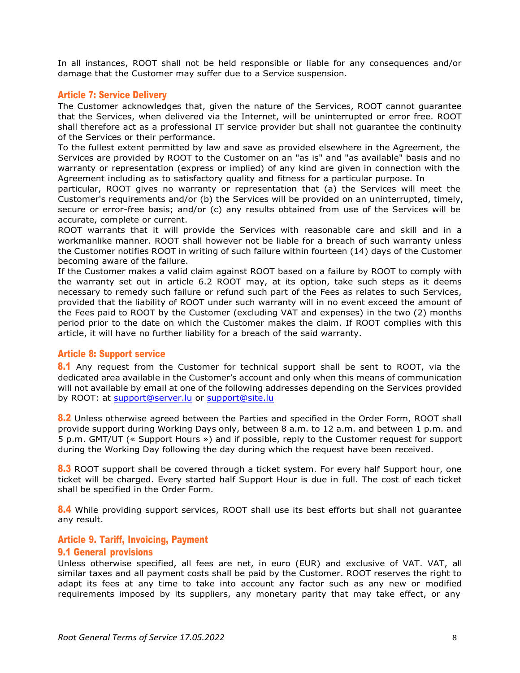In all instances, ROOT shall not be held responsible or liable for any consequences and/or damage that the Customer may suffer due to a Service suspension.

## Article 7: Service Delivery

The Customer acknowledges that, given the nature of the Services, ROOT cannot guarantee that the Services, when delivered via the Internet, will be uninterrupted or error free. ROOT shall therefore act as a professional IT service provider but shall not guarantee the continuity of the Services or their performance.

To the fullest extent permitted by law and save as provided elsewhere in the Agreement, the Services are provided by ROOT to the Customer on an "as is" and "as available" basis and no warranty or representation (express or implied) of any kind are given in connection with the Agreement including as to satisfactory quality and fitness for a particular purpose. In

particular, ROOT gives no warranty or representation that (a) the Services will meet the Customer's requirements and/or (b) the Services will be provided on an uninterrupted, timely, secure or error-free basis; and/or (c) any results obtained from use of the Services will be accurate, complete or current.

ROOT warrants that it will provide the Services with reasonable care and skill and in a workmanlike manner. ROOT shall however not be liable for a breach of such warranty unless the Customer notifies ROOT in writing of such failure within fourteen (14) days of the Customer becoming aware of the failure.

If the Customer makes a valid claim against ROOT based on a failure by ROOT to comply with the warranty set out in article 6.2 ROOT may, at its option, take such steps as it deems necessary to remedy such failure or refund such part of the Fees as relates to such Services, provided that the liability of ROOT under such warranty will in no event exceed the amount of the Fees paid to ROOT by the Customer (excluding VAT and expenses) in the two (2) months period prior to the date on which the Customer makes the claim. If ROOT complies with this article, it will have no further liability for a breach of the said warranty.

## Article 8: Support service

8.1 Any request from the Customer for technical support shall be sent to ROOT, via the dedicated area available in the Customer's account and only when this means of communication will not available by email at one of the following addresses depending on the Services provided by ROOT: at [support@server.lu](mailto:support@server.lu) or [support@site.lu](mailto:support@site.lu)

8.2 Unless otherwise agreed between the Parties and specified in the Order Form, ROOT shall provide support during Working Days only, between 8 a.m. to 12 a.m. and between 1 p.m. and 5 p.m. GMT/UT (« Support Hours ») and if possible, reply to the Customer request for support during the Working Day following the day during which the request have been received.

**8.3** ROOT support shall be covered through a ticket system. For every half Support hour, one ticket will be charged. Every started half Support Hour is due in full. The cost of each ticket shall be specified in the Order Form.

**8.4** While providing support services, ROOT shall use its best efforts but shall not quarantee any result.

## Article 9. Tariff, Invoicing, Payment

## 9.1 General provisions

Unless otherwise specified, all fees are net, in euro (EUR) and exclusive of VAT. VAT, all similar taxes and all payment costs shall be paid by the Customer. ROOT reserves the right to adapt its fees at any time to take into account any factor such as any new or modified requirements imposed by its suppliers, any monetary parity that may take effect, or any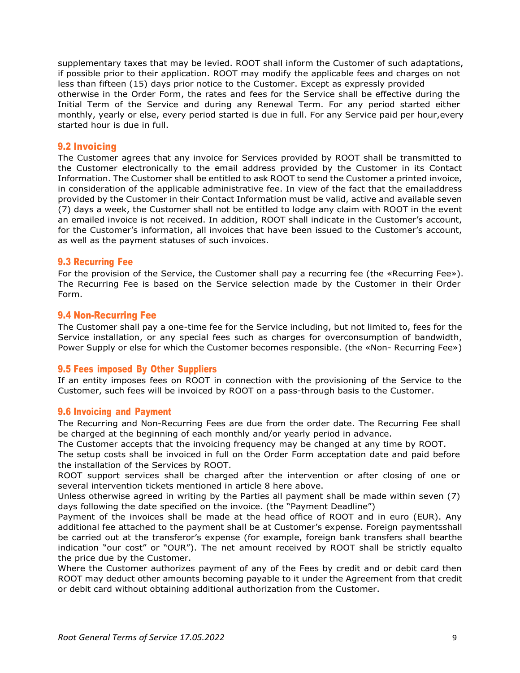supplementary taxes that may be levied. ROOT shall inform the Customer of such adaptations, if possible prior to their application. ROOT may modify the applicable fees and charges on not less than fifteen (15) days prior notice to the Customer. Except as expressly provided otherwise in the Order Form, the rates and fees for the Service shall be effective during the Initial Term of the Service and during any Renewal Term. For any period started either monthly, yearly or else, every period started is due in full. For any Service paid per hour,every started hour is due in full.

## 9.2 Invoicing

The Customer agrees that any invoice for Services provided by ROOT shall be transmitted to the Customer electronically to the email address provided by the Customer in its Contact Information. The Customer shall be entitled to ask ROOT to send the Customer a printed invoice, in consideration of the applicable administrative fee. In view of the fact that the emailaddress provided by the Customer in their Contact Information must be valid, active and available seven (7) days a week, the Customer shall not be entitled to lodge any claim with ROOT in the event an emailed invoice is not received. In addition, ROOT shall indicate in the Customer's account, for the Customer's information, all invoices that have been issued to the Customer's account, as well as the payment statuses of such invoices.

## 9.3 Recurring Fee

For the provision of the Service, the Customer shall pay a recurring fee (the «Recurring Fee»). The Recurring Fee is based on the Service selection made by the Customer in their Order Form.

## 9.4 Non-Recurring Fee

The Customer shall pay a one-time fee for the Service including, but not limited to, fees for the Service installation, or any special fees such as charges for overconsumption of bandwidth, Power Supply or else for which the Customer becomes responsible. (the «Non- Recurring Fee»)

## 9.5 Fees imposed By Other Suppliers

If an entity imposes fees on ROOT in connection with the provisioning of the Service to the Customer, such fees will be invoiced by ROOT on a pass-through basis to the Customer.

## 9.6 Invoicing and Payment

The Recurring and Non-Recurring Fees are due from the order date. The Recurring Fee shall be charged at the beginning of each monthly and/or yearly period in advance.

The Customer accepts that the invoicing frequency may be changed at any time by ROOT.

The setup costs shall be invoiced in full on the Order Form acceptation date and paid before the installation of the Services by ROOT.

ROOT support services shall be charged after the intervention or after closing of one or several intervention tickets mentioned in article 8 here above.

Unless otherwise agreed in writing by the Parties all payment shall be made within seven (7) days following the date specified on the invoice. (the "Payment Deadline")

Payment of the invoices shall be made at the head office of ROOT and in euro (EUR). Any additional fee attached to the payment shall be at Customer's expense. Foreign paymentsshall be carried out at the transferor's expense (for example, foreign bank transfers shall bearthe indication "our cost" or "OUR"). The net amount received by ROOT shall be strictly equalto the price due by the Customer.

Where the Customer authorizes payment of any of the Fees by credit and or debit card then ROOT may deduct other amounts becoming payable to it under the Agreement from that credit or debit card without obtaining additional authorization from the Customer.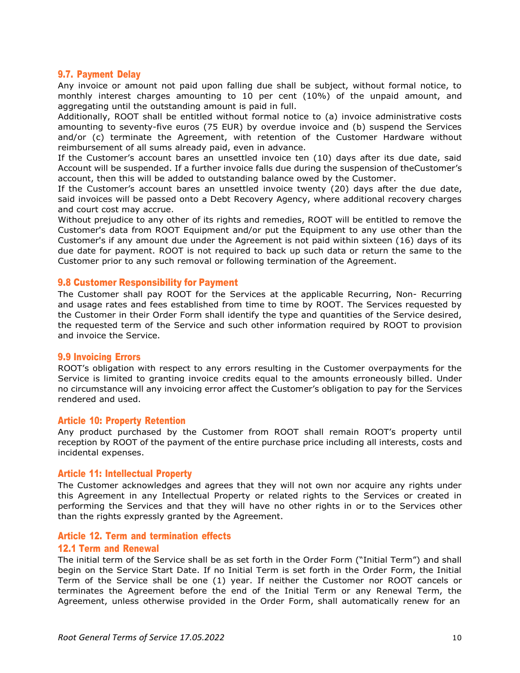## 9.7. Payment Delay

Any invoice or amount not paid upon falling due shall be subject, without formal notice, to monthly interest charges amounting to 10 per cent (10%) of the unpaid amount, and aggregating until the outstanding amount is paid in full.

Additionally, ROOT shall be entitled without formal notice to (a) invoice administrative costs amounting to seventy-five euros (75 EUR) by overdue invoice and (b) suspend the Services and/or (c) terminate the Agreement, with retention of the Customer Hardware without reimbursement of all sums already paid, even in advance.

If the Customer's account bares an unsettled invoice ten (10) days after its due date, said Account will be suspended. If a further invoice falls due during the suspension of theCustomer's account, then this will be added to outstanding balance owed by the Customer.

If the Customer's account bares an unsettled invoice twenty (20) days after the due date, said invoices will be passed onto a Debt Recovery Agency, where additional recovery charges and court cost may accrue.

Without prejudice to any other of its rights and remedies, ROOT will be entitled to remove the Customer's data from ROOT Equipment and/or put the Equipment to any use other than the Customer's if any amount due under the Agreement is not paid within sixteen (16) days of its due date for payment. ROOT is not required to back up such data or return the same to the Customer prior to any such removal or following termination of the Agreement.

## 9.8 Customer Responsibility for Payment

The Customer shall pay ROOT for the Services at the applicable Recurring, Non- Recurring and usage rates and fees established from time to time by ROOT. The Services requested by the Customer in their Order Form shall identify the type and quantities of the Service desired, the requested term of the Service and such other information required by ROOT to provision and invoice the Service.

## 9.9 Invoicing Errors

ROOT's obligation with respect to any errors resulting in the Customer overpayments for the Service is limited to granting invoice credits equal to the amounts erroneously billed. Under no circumstance will any invoicing error affect the Customer's obligation to pay for the Services rendered and used.

## Article 10: Property Retention

Any product purchased by the Customer from ROOT shall remain ROOT's property until reception by ROOT of the payment of the entire purchase price including all interests, costs and incidental expenses.

#### Article 11: Intellectual Property

The Customer acknowledges and agrees that they will not own nor acquire any rights under this Agreement in any Intellectual Property or related rights to the Services or created in performing the Services and that they will have no other rights in or to the Services other than the rights expressly granted by the Agreement.

#### Article 12. Term and termination effects

#### 12.1 Term and Renewal

The initial term of the Service shall be as set forth in the Order Form ("Initial Term") and shall begin on the Service Start Date. If no Initial Term is set forth in the Order Form, the Initial Term of the Service shall be one (1) year. If neither the Customer nor ROOT cancels or terminates the Agreement before the end of the Initial Term or any Renewal Term, the Agreement, unless otherwise provided in the Order Form, shall automatically renew for an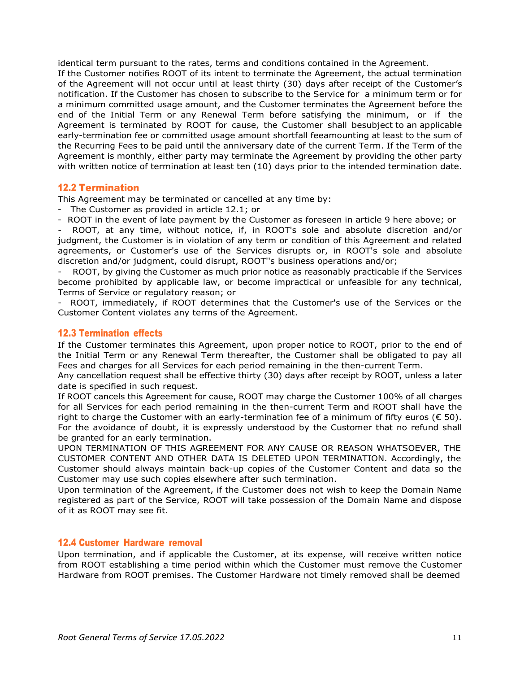identical term pursuant to the rates, terms and conditions contained in the Agreement.

If the Customer notifies ROOT of its intent to terminate the Agreement, the actual termination of the Agreement will not occur until at least thirty (30) days after receipt of the Customer's notification. If the Customer has chosen to subscribe to the Service for a minimum term or for a minimum committed usage amount, and the Customer terminates the Agreement before the end of the Initial Term or any Renewal Term before satisfying the minimum, or if the Agreement is terminated by ROOT for cause, the Customer shall besubject to an applicable early-termination fee or committed usage amount shortfall feeamounting at least to the sum of the Recurring Fees to be paid until the anniversary date of the current Term. If the Term of the Agreement is monthly, either party may terminate the Agreement by providing the other party with written notice of termination at least ten (10) days prior to the intended termination date.

## 12.2 Termination

This Agreement may be terminated or cancelled at any time by:

- The Customer as provided in article 12.1; or

- ROOT in the event of late payment by the Customer as foreseen in article 9 here above; or ROOT, at any time, without notice, if, in ROOT's sole and absolute discretion and/or judgment, the Customer is in violation of any term or condition of this Agreement and related agreements, or Customer's use of the Services disrupts or, in ROOT's sole and absolute discretion and/or judgment, could disrupt, ROOT''s business operations and/or;

ROOT, by giving the Customer as much prior notice as reasonably practicable if the Services become prohibited by applicable law, or become impractical or unfeasible for any technical, Terms of Service or regulatory reason; or

ROOT, immediately, if ROOT determines that the Customer's use of the Services or the Customer Content violates any terms of the Agreement.

## 12.3 Termination effects

If the Customer terminates this Agreement, upon proper notice to ROOT, prior to the end of the Initial Term or any Renewal Term thereafter, the Customer shall be obligated to pay all Fees and charges for all Services for each period remaining in the then-current Term.

Any cancellation request shall be effective thirty (30) days after receipt by ROOT, unless a later date is specified in such request.

If ROOT cancels this Agreement for cause, ROOT may charge the Customer 100% of all charges for all Services for each period remaining in the then-current Term and ROOT shall have the right to charge the Customer with an early-termination fee of a minimum of fifty euros ( $\epsilon$  50). For the avoidance of doubt, it is expressly understood by the Customer that no refund shall be granted for an early termination.

UPON TERMINATION OF THIS AGREEMENT FOR ANY CAUSE OR REASON WHATSOEVER, THE CUSTOMER CONTENT AND OTHER DATA IS DELETED UPON TERMINATION. Accordingly, the Customer should always maintain back-up copies of the Customer Content and data so the Customer may use such copies elsewhere after such termination.

Upon termination of the Agreement, if the Customer does not wish to keep the Domain Name registered as part of the Service, ROOT will take possession of the Domain Name and dispose of it as ROOT may see fit.

# 12.4 Customer Hardware removal

Upon termination, and if applicable the Customer, at its expense, will receive written notice from ROOT establishing a time period within which the Customer must remove the Customer Hardware from ROOT premises. The Customer Hardware not timely removed shall be deemed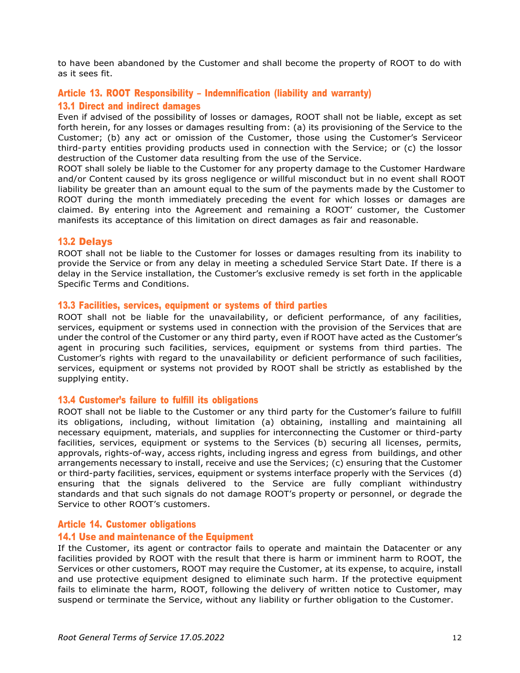to have been abandoned by the Customer and shall become the property of ROOT to do with as it sees fit.

# Article 13. ROOT Responsibility – Indemnification (liability and warranty) 13.1 Direct and indirect damages

Even if advised of the possibility of losses or damages, ROOT shall not be liable, except as set forth herein, for any losses or damages resulting from: (a) its provisioning of the Service to the Customer; (b) any act or omission of the Customer, those using the Customer's Serviceor third-party entities providing products used in connection with the Service; or (c) the lossor destruction of the Customer data resulting from the use of the Service.

ROOT shall solely be liable to the Customer for any property damage to the Customer Hardware and/or Content caused by its gross negligence or willful misconduct but in no event shall ROOT liability be greater than an amount equal to the sum of the payments made by the Customer to ROOT during the month immediately preceding the event for which losses or damages are claimed. By entering into the Agreement and remaining a ROOT' customer, the Customer manifests its acceptance of this limitation on direct damages as fair and reasonable.

# 13.2 Delays

ROOT shall not be liable to the Customer for losses or damages resulting from its inability to provide the Service or from any delay in meeting a scheduled Service Start Date. If there is a delay in the Service installation, the Customer's exclusive remedy is set forth in the applicable Specific Terms and Conditions.

#### 13.3 Facilities, services, equipment or systems of third parties

ROOT shall not be liable for the unavailability, or deficient performance, of any facilities, services, equipment or systems used in connection with the provision of the Services that are under the control of the Customer or any third party, even if ROOT have acted as the Customer's agent in procuring such facilities, services, equipment or systems from third parties. The Customer's rights with regard to the unavailability or deficient performance of such facilities, services, equipment or systems not provided by ROOT shall be strictly as established by the supplying entity.

## 13.4 Customer's failure to fulfill its obligations

ROOT shall not be liable to the Customer or any third party for the Customer's failure to fulfill its obligations, including, without limitation (a) obtaining, installing and maintaining all necessary equipment, materials, and supplies for interconnecting the Customer or third-party facilities, services, equipment or systems to the Services (b) securing all licenses, permits, approvals, rights-of-way, access rights, including ingress and egress from buildings, and other arrangements necessary to install, receive and use the Services; (c) ensuring that the Customer or third-party facilities, services, equipment or systems interface properly with the Services (d) ensuring that the signals delivered to the Service are fully compliant withindustry standards and that such signals do not damage ROOT's property or personnel, or degrade the Service to other ROOT's customers.

## Article 14. Customer obligations

## 14.1 Use and maintenance of the Equipment

If the Customer, its agent or contractor fails to operate and maintain the Datacenter or any facilities provided by ROOT with the result that there is harm or imminent harm to ROOT, the Services or other customers, ROOT may require the Customer, at its expense, to acquire, install and use protective equipment designed to eliminate such harm. If the protective equipment fails to eliminate the harm, ROOT, following the delivery of written notice to Customer, may suspend or terminate the Service, without any liability or further obligation to the Customer.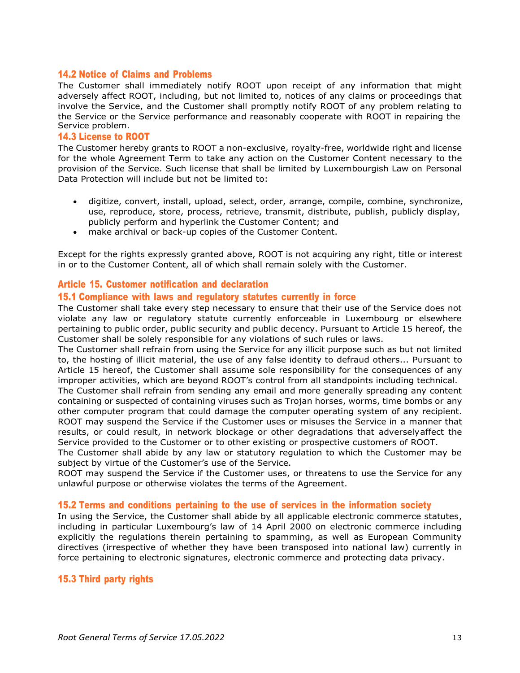## 14.2 Notice of Claims and Problems

The Customer shall immediately notify ROOT upon receipt of any information that might adversely affect ROOT, including, but not limited to, notices of any claims or proceedings that involve the Service, and the Customer shall promptly notify ROOT of any problem relating to the Service or the Service performance and reasonably cooperate with ROOT in repairing the Service problem.

#### 14.3 License to ROOT

The Customer hereby grants to ROOT a non-exclusive, royalty-free, worldwide right and license for the whole Agreement Term to take any action on the Customer Content necessary to the provision of the Service. Such license that shall be limited by Luxembourgish Law on Personal Data Protection will include but not be limited to:

- digitize, convert, install, upload, select, order, arrange, compile, combine, synchronize, use, reproduce, store, process, retrieve, transmit, distribute, publish, publicly display, publicly perform and hyperlink the Customer Content; and
- make archival or back-up copies of the Customer Content.

Except for the rights expressly granted above, ROOT is not acquiring any right, title or interest in or to the Customer Content, all of which shall remain solely with the Customer.

#### Article 15. Customer notification and declaration

#### 15.1 Compliance with laws and regulatory statutes currently in force

The Customer shall take every step necessary to ensure that their use of the Service does not violate any law or regulatory statute currently enforceable in Luxembourg or elsewhere pertaining to public order, public security and public decency. Pursuant to Article 15 hereof, the Customer shall be solely responsible for any violations of such rules or laws.

The Customer shall refrain from using the Service for any illicit purpose such as but not limited to, the hosting of illicit material, the use of any false identity to defraud others... Pursuant to Article 15 hereof, the Customer shall assume sole responsibility for the consequences of any improper activities, which are beyond ROOT's control from all standpoints including technical.

The Customer shall refrain from sending any email and more generally spreading any content containing or suspected of containing viruses such as Trojan horses, worms, time bombs or any other computer program that could damage the computer operating system of any recipient. ROOT may suspend the Service if the Customer uses or misuses the Service in a manner that results, or could result, in network blockage or other degradations that adverselyaffect the Service provided to the Customer or to other existing or prospective customers of ROOT.

The Customer shall abide by any law or statutory regulation to which the Customer may be subject by virtue of the Customer's use of the Service.

ROOT may suspend the Service if the Customer uses, or threatens to use the Service for any unlawful purpose or otherwise violates the terms of the Agreement.

## 15.2 Terms and conditions pertaining to the use of services in the information society

In using the Service, the Customer shall abide by all applicable electronic commerce statutes, including in particular Luxembourg's law of 14 April 2000 on electronic commerce including explicitly the regulations therein pertaining to spamming, as well as European Community directives (irrespective of whether they have been transposed into national law) currently in force pertaining to electronic signatures, electronic commerce and protecting data privacy.

## 15.3 Third party rights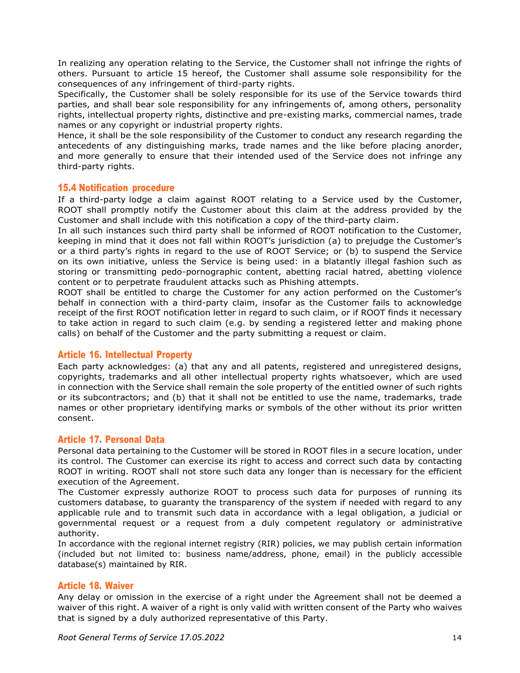In realizing any operation relating to the Service, the Customer shall not infringe the rights of others. Pursuant to article 15 hereof, the Customer shall assume sole responsibility for the consequences of any infringement of third-party rights.

Specifically, the Customer shall be solely responsible for its use of the Service towards third parties, and shall bear sole responsibility for any infringements of, among others, personality rights, intellectual property rights, distinctive and pre-existing marks, commercial names, trade names or any copyright or industrial property rights.

Hence, it shall be the sole responsibility of the Customer to conduct any research regarding the antecedents of any distinguishing marks, trade names and the like before placing anorder, and more generally to ensure that their intended used of the Service does not infringe any third-party rights.

## 15.4 Notification procedure

If a third-party lodge a claim against ROOT relating to a Service used by the Customer, ROOT shall promptly notify the Customer about this claim at the address provided by the Customer and shall include with this notification a copy of the third-party claim.

In all such instances such third party shall be informed of ROOT notification to the Customer, keeping in mind that it does not fall within ROOT's jurisdiction (a) to prejudge the Customer's or a third party's rights in regard to the use of ROOT Service; or (b) to suspend the Service on its own initiative, unless the Service is being used: in a blatantly illegal fashion such as storing or transmitting pedo-pornographic content, abetting racial hatred, abetting violence content or to perpetrate fraudulent attacks such as Phishing attempts.

ROOT shall be entitled to charge the Customer for any action performed on the Customer's behalf in connection with a third-party claim, insofar as the Customer fails to acknowledge receipt of the first ROOT notification letter in regard to such claim, or if ROOT finds it necessary to take action in regard to such claim (e.g. by sending a registered letter and making phone calls) on behalf of the Customer and the party submitting a request or claim.

# Article 16. Intellectual Property

Each party acknowledges: (a) that any and all patents, registered and unregistered designs, copyrights, trademarks and all other intellectual property rights whatsoever, which are used in connection with the Service shall remain the sole property of the entitled owner of such rights or its subcontractors; and (b) that it shall not be entitled to use the name, trademarks, trade names or other proprietary identifying marks or symbols of the other without its prior written consent.

## Article 17. Personal Data

Personal data pertaining to the Customer will be stored in ROOT files in a secure location, under its control. The Customer can exercise its right to access and correct such data by contacting ROOT in writing. ROOT shall not store such data any longer than is necessary for the efficient execution of the Agreement.

The Customer expressly authorize ROOT to process such data for purposes of running its customers database, to guaranty the transparency of the system if needed with regard to any applicable rule and to transmit such data in accordance with a legal obligation, a judicial or governmental request or a request from a duly competent regulatory or administrative authority.

In accordance with the regional internet registry (RIR) policies, we may publish certain information (included but not limited to: business name/address, phone, email) in the publicly accessible database(s) maintained by RIR.

# Article 18. Waiver

Any delay or omission in the exercise of a right under the Agreement shall not be deemed a waiver of this right. A waiver of a right is only valid with written consent of the Party who waives that is signed by a duly authorized representative of this Party.